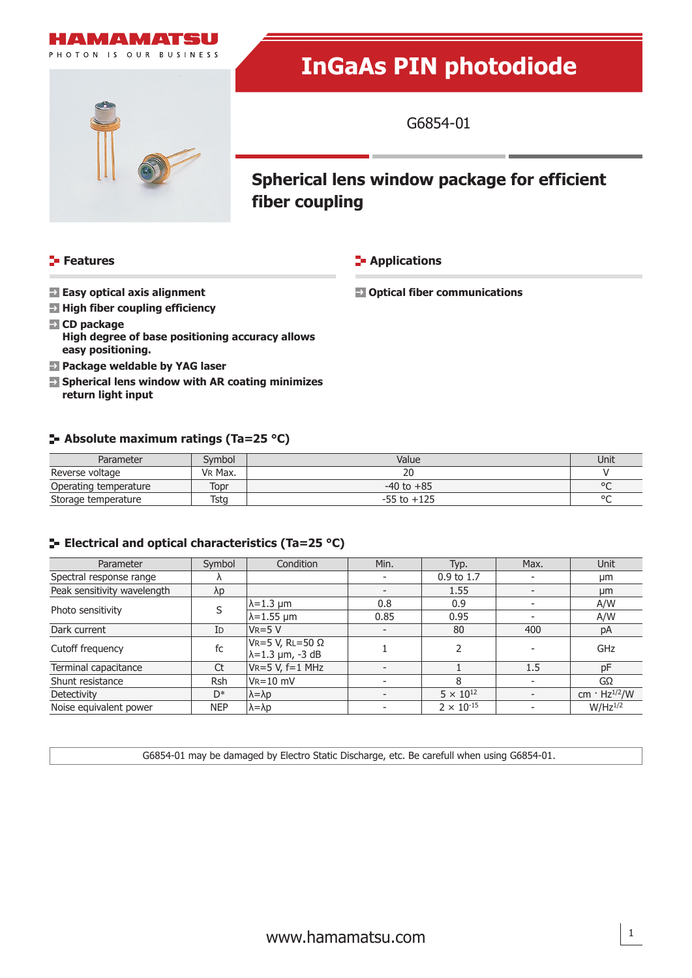

# **InGaAs PIN photodiode**



G6854-01

## **Spherical lens window package for efficient fiber coupling**

### **Features**

**E-** Applications

 **Easy optical axis alignment**

 **Optical fiber communications**

- **E** High fiber coupling efficiency
- **CD package High degree of base positioning accuracy allows easy positioning.**
- **Package weldable by YAG laser**
- **Spherical lens window with AR coating minimizes return light input**

### **Absolute maximum ratings (Ta=25 °C)**

| Parameter             | Svmbol  | Value           | Unit    |
|-----------------------|---------|-----------------|---------|
| Reverse voltage       | VR Max. |                 |         |
| Operating temperature | fopr    | $-40$ to $+85$  | $\circ$ |
| Storage temperature   | Tsta    | $-55$ to $+125$ | $\circ$ |

### **E-** Electrical and optical characteristics (Ta=25 °C)

| Parameter                   | Symbol     | Condition                                          | Min.                     | Typ.                  | Max. | <b>Unit</b>                     |
|-----------------------------|------------|----------------------------------------------------|--------------------------|-----------------------|------|---------------------------------|
| Spectral response range     |            |                                                    |                          | $0.9 \text{ to } 1.7$ |      | μm                              |
| Peak sensitivity wavelength | λp         |                                                    |                          | 1.55                  |      | μm                              |
| Photo sensitivity           |            | $\lambda$ =1.3 µm                                  | 0.8                      | 0.9                   |      | A/W                             |
|                             |            | $\lambda$ =1.55 µm                                 | 0.85                     | 0.95                  |      | A/W                             |
| Dark current                | ID         | $VR=5 V$                                           | $\overline{\phantom{0}}$ | 80                    | 400  | pA                              |
| Cutoff frequency            | fc         | VR=5 V, RL=50 $\Omega$<br>$\lambda$ =1.3 µm, -3 dB |                          |                       |      | GHz                             |
| Terminal capacitance        | Ct         | $VR = 5 V, f = 1 MHz$                              |                          |                       | 1.5  | pF                              |
| Shunt resistance            | <b>Rsh</b> | $V_{R} = 10$ mV                                    |                          | 8                     |      | GΩ                              |
| Detectivity                 | $D^*$      | $\lambda = \lambda p$                              |                          | $5 \times 10^{12}$    |      | cm $\cdot$ Hz <sup>1/2</sup> /W |
| Noise equivalent power      | <b>NEP</b> | $\lambda = \lambda p$                              |                          | $2 \times 10^{-15}$   |      | $W/Hz^{1/2}$                    |

G6854-01 may be damaged by Electro Static Discharge, etc. Be carefull when using G6854-01.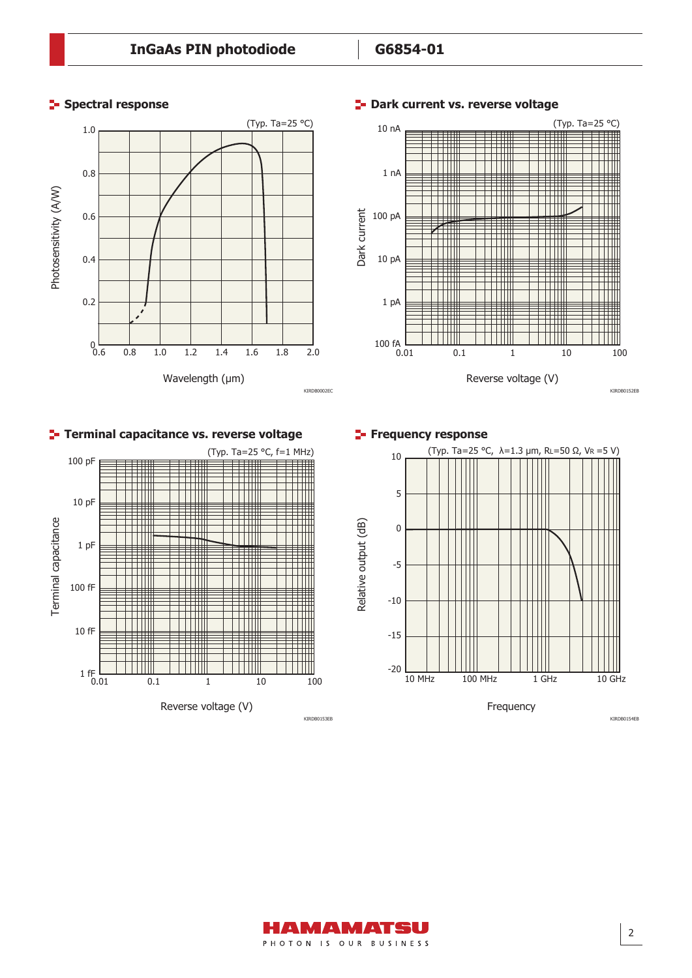

#### **P** Dark current vs. reverse voltage

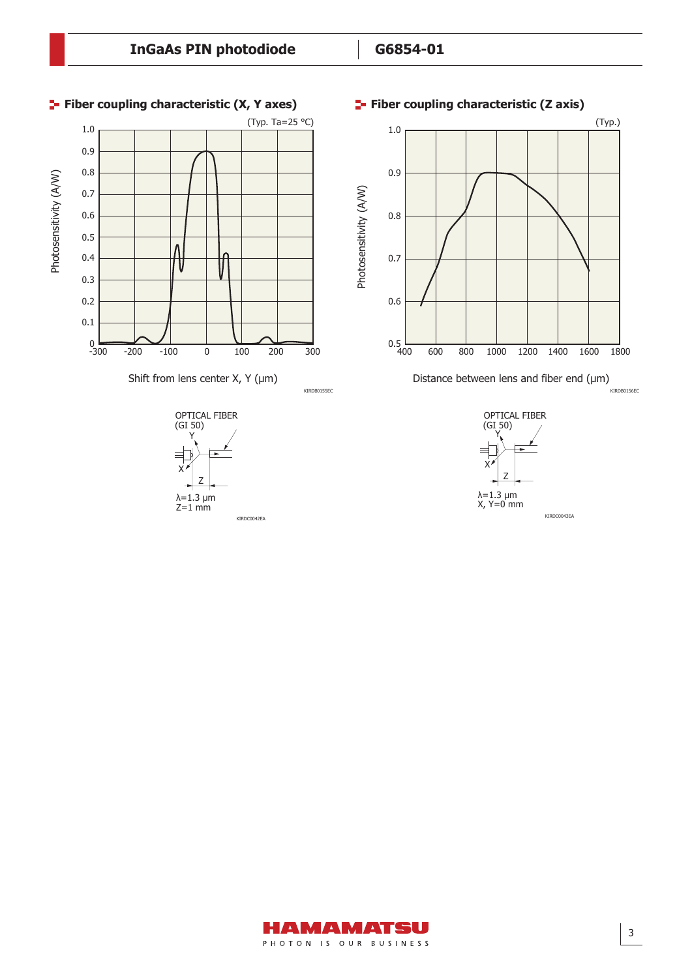

### AMAMATSU PHOTON IS OUR BUSINESS